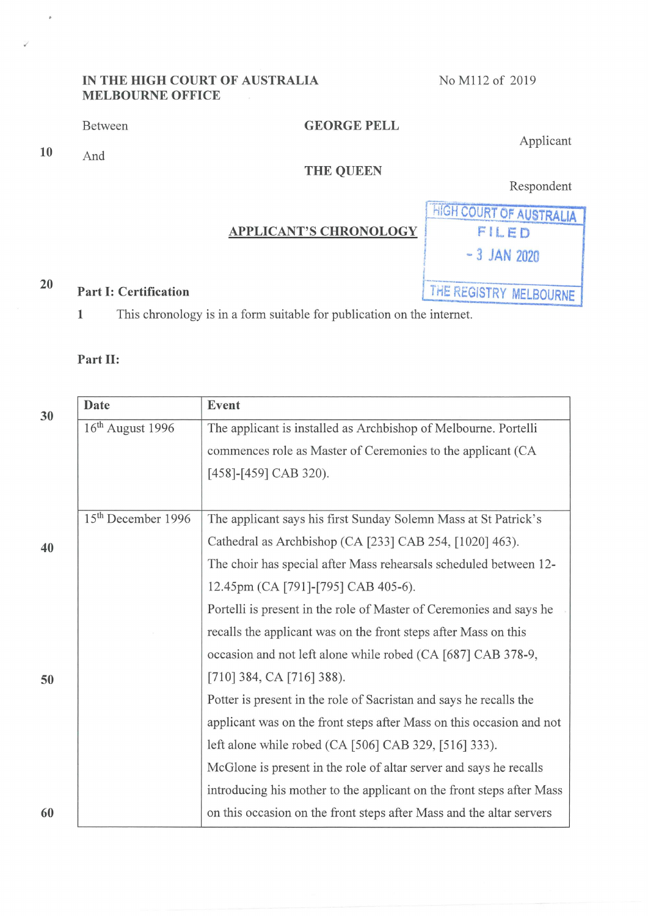## IN THE HIGH COURT OF AUSTRALIA MELBOURNE OFFICE

NO M112 of 2019

Between

 $10$  And

 $\hat{P}$ 

# GEORGE FELL

Applicant

## THE QUEEN

Respondent

#### APPLICANT'S CHRONOLOGY

Part I: Certification **Fart I: Certification** Fart I: Certification FILED  $-3$  JAN 2020

20

I This chronology is in a form suitable for publication on the internet

#### Part II:

| 30 | <b>Date</b>                    | Event                                                                 |
|----|--------------------------------|-----------------------------------------------------------------------|
|    | 16 <sup>th</sup> August 1996   | The applicant is installed as Archbishop of Melbourne. Portelli       |
|    |                                | commences role as Master of Ceremonies to the applicant (CA           |
|    |                                | $[458]$ - $[459]$ CAB 320).                                           |
|    |                                |                                                                       |
| 40 | 15 <sup>th</sup> December 1996 | The applicant says his first Sunday Solemn Mass at St Patrick's       |
|    |                                | Cathedral as Archbishop (CA [233] CAB 254, [1020] 463).               |
|    |                                | The choir has special after Mass rehearsals scheduled between 12-     |
|    |                                | 12.45pm (CA [791]-[795] CAB 405-6).                                   |
|    |                                | Portelli is present in the role of Master of Ceremonies and says he   |
|    |                                | recalls the applicant was on the front steps after Mass on this       |
|    |                                | occasion and not left alone while robed (CA [687] CAB 378-9,          |
| 50 |                                | [710] 384, CA [716] 388).                                             |
|    |                                | Potter is present in the role of Sacristan and says he recalls the    |
|    |                                | applicant was on the front steps after Mass on this occasion and not  |
|    |                                | left alone while robed (CA [506] CAB 329, [516] 333).                 |
|    |                                | McGlone is present in the role of altar server and says he recalls    |
|    |                                | introducing his mother to the applicant on the front steps after Mass |
| 60 |                                | on this occasion on the front steps after Mass and the altar servers  |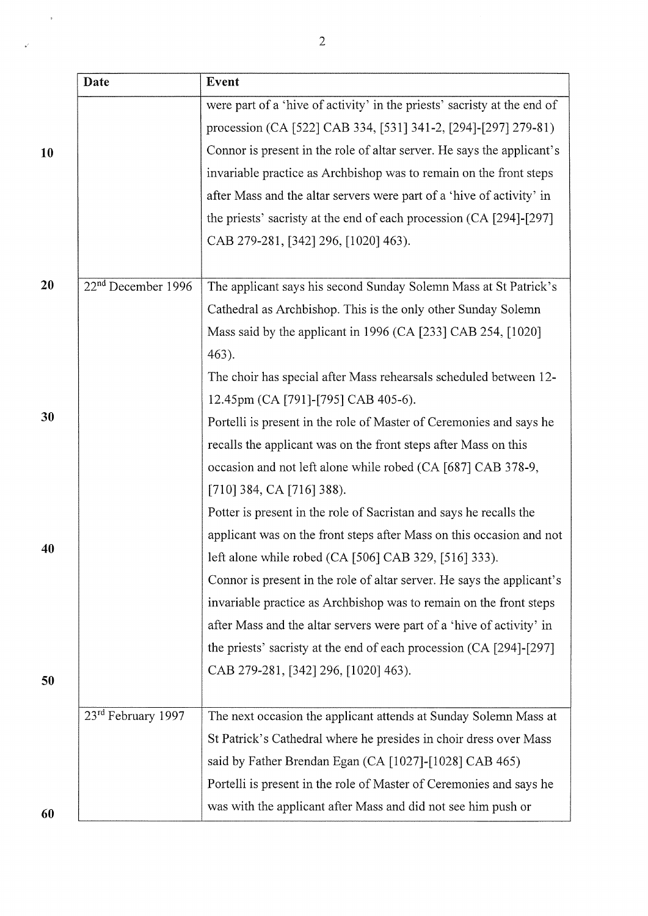|    | Date                           | Event                                                                    |
|----|--------------------------------|--------------------------------------------------------------------------|
|    |                                | were part of a 'hive of activity' in the priests' sacristy at the end of |
|    |                                | procession (CA [522] CAB 334, [531] 341-2, [294]-[297] 279-81)           |
| 10 |                                | Connor is present in the role of altar server. He says the applicant's   |
|    |                                | invariable practice as Archbishop was to remain on the front steps       |
|    |                                | after Mass and the altar servers were part of a 'hive of activity' in    |
|    |                                | the priests' sacristy at the end of each procession (CA [294]-[297]      |
|    |                                | CAB 279-281, [342] 296, [1020] 463).                                     |
|    |                                |                                                                          |
| 20 | 22 <sup>nd</sup> December 1996 | The applicant says his second Sunday Solemn Mass at St Patrick's         |
|    |                                | Cathedral as Archbishop. This is the only other Sunday Solemn            |
|    |                                | Mass said by the applicant in 1996 (CA [233] CAB 254, [1020]             |
|    |                                | 463).                                                                    |
|    |                                | The choir has special after Mass rehearsals scheduled between 12-        |
|    |                                | 12.45pm (CA [791]-[795] CAB 405-6).                                      |
| 30 |                                | Portelli is present in the role of Master of Ceremonies and says he      |
|    |                                | recalls the applicant was on the front steps after Mass on this          |
|    |                                | occasion and not left alone while robed (CA [687] CAB 378-9,             |
|    |                                | $[710]$ 384, CA $[716]$ 388).                                            |
|    |                                | Potter is present in the role of Sacristan and says he recalls the       |
|    |                                | applicant was on the front steps after Mass on this occasion and not     |
| 40 |                                | left alone while robed (CA [506] CAB 329, [516] 333).                    |
|    |                                | Connor is present in the role of altar server. He says the applicant's   |
|    |                                | invariable practice as Archbishop was to remain on the front steps       |
|    |                                | after Mass and the altar servers were part of a 'hive of activity' in    |
|    |                                | the priests' sacristy at the end of each procession (CA [294]-[297]      |
|    |                                | CAB 279-281, [342] 296, [1020] 463).                                     |
| 50 |                                |                                                                          |
|    | 23 <sup>rd</sup> February 1997 | The next occasion the applicant attends at Sunday Solemn Mass at         |
|    |                                | St Patrick's Cathedral where he presides in choir dress over Mass        |
|    |                                | said by Father Brendan Egan (CA [1027]-[1028] CAB 465)                   |
|    |                                | Portelli is present in the role of Master of Ceremonies and says he      |
| 60 |                                | was with the applicant after Mass and did not see him push or            |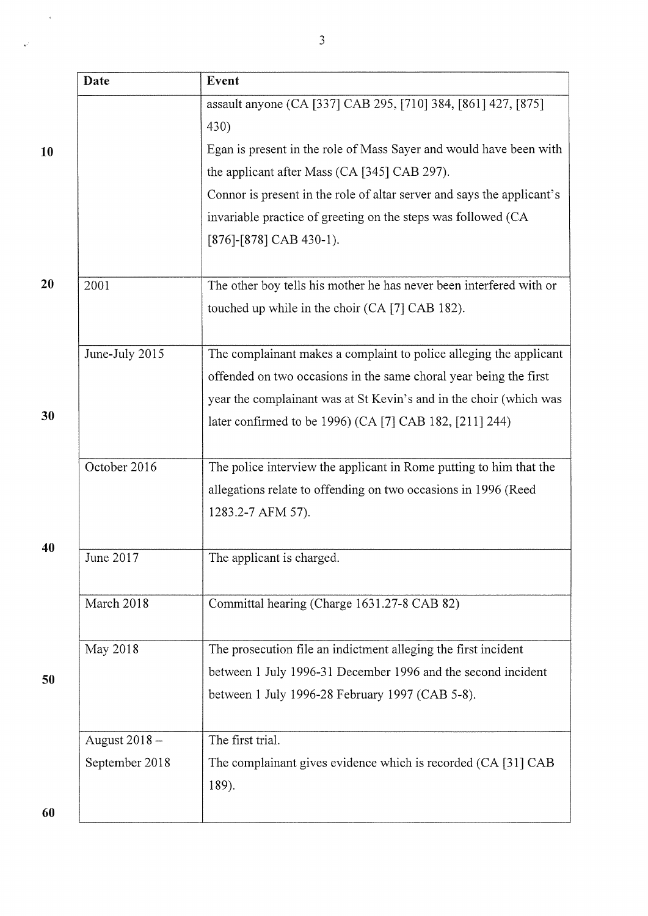|    | Date           | Event                                                                  |
|----|----------------|------------------------------------------------------------------------|
|    |                | assault anyone (CA [337] CAB 295, [710] 384, [861] 427, [875]          |
|    |                | 430)                                                                   |
| 10 |                | Egan is present in the role of Mass Sayer and would have been with     |
|    |                | the applicant after Mass (CA [345] CAB 297).                           |
|    |                | Connor is present in the role of altar server and says the applicant's |
|    |                | invariable practice of greeting on the steps was followed (CA          |
|    |                | $[876]-[878]$ CAB 430-1).                                              |
| 20 | 2001           | The other boy tells his mother he has never been interfered with or    |
|    |                | touched up while in the choir (CA [7] CAB 182).                        |
|    | June-July 2015 | The complainant makes a complaint to police alleging the applicant     |
|    |                | offended on two occasions in the same choral year being the first      |
|    |                | year the complainant was at St Kevin's and in the choir (which was     |
| 30 |                | later confirmed to be 1996) (CA [7] CAB 182, [211] 244)                |
|    | October 2016   | The police interview the applicant in Rome putting to him that the     |
|    |                | allegations relate to offending on two occasions in 1996 (Reed         |
|    |                | 1283.2-7 AFM 57).                                                      |
| 40 | June 2017      | The applicant is charged.                                              |
|    | March 2018     | Committal hearing (Charge 1631.27-8 CAB 82)                            |
|    | May 2018       | The prosecution file an indictment alleging the first incident         |
| 50 |                | between 1 July 1996-31 December 1996 and the second incident           |
|    |                | between 1 July 1996-28 February 1997 (CAB 5-8).                        |
|    | August 2018-   | The first trial.                                                       |
|    | September 2018 | The complainant gives evidence which is recorded (CA [31] CAB<br>189). |
| 60 |                |                                                                        |

 $\ddot{\phantom{0}}$ 

 $\overline{\nu}$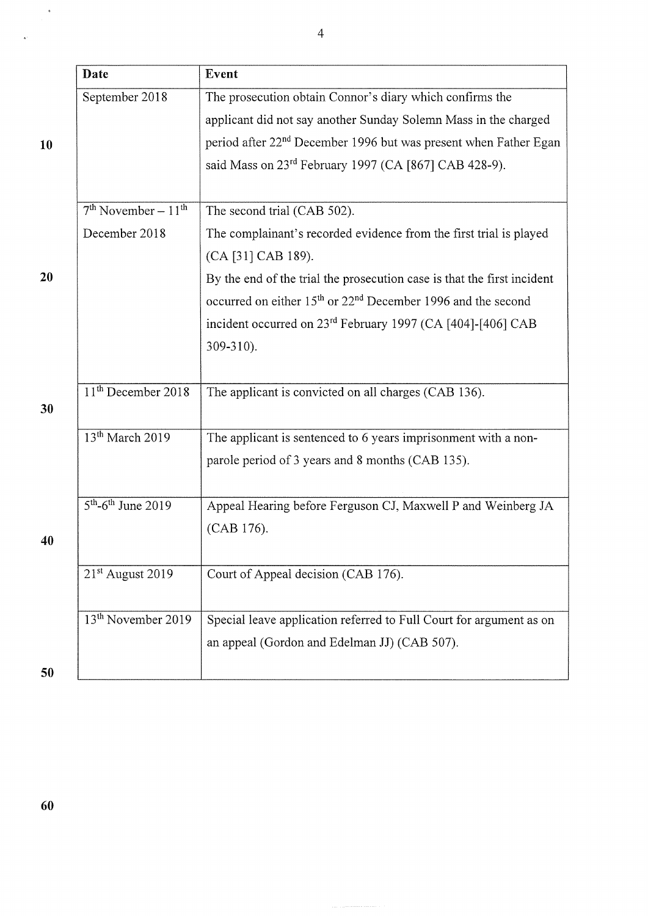|    | Date                             | Event                                                                                |
|----|----------------------------------|--------------------------------------------------------------------------------------|
|    | September 2018                   | The prosecution obtain Connor's diary which confirms the                             |
|    |                                  | applicant did not say another Sunday Solemn Mass in the charged                      |
| 10 |                                  | period after 22 <sup>nd</sup> December 1996 but was present when Father Egan         |
|    |                                  | said Mass on 23 <sup>rd</sup> February 1997 (CA [867] CAB 428-9).                    |
|    |                                  |                                                                                      |
|    | $7th November - 11th$            | The second trial (CAB 502).                                                          |
|    | December 2018                    | The complainant's recorded evidence from the first trial is played                   |
|    |                                  | (CA [31] CAB 189).                                                                   |
| 20 |                                  | By the end of the trial the prosecution case is that the first incident              |
|    |                                  | occurred on either 15 <sup>th</sup> or 22 <sup>nd</sup> December 1996 and the second |
|    |                                  | incident occurred on 23 <sup>rd</sup> February 1997 (CA [404]-[406] CAB              |
|    |                                  | $309 - 310$ ).                                                                       |
|    |                                  |                                                                                      |
|    | 11 <sup>th</sup> December 2018   | The applicant is convicted on all charges (CAB 136).                                 |
| 30 |                                  |                                                                                      |
|    | 13 <sup>th</sup> March 2019      | The applicant is sentenced to 6 years imprisonment with a non-                       |
|    |                                  | parole period of 3 years and 8 months (CAB 135).                                     |
|    |                                  |                                                                                      |
|    | $5th$ -6 <sup>th</sup> June 2019 | Appeal Hearing before Ferguson CJ, Maxwell P and Weinberg JA                         |
| 40 |                                  | (CAB 176).                                                                           |
|    |                                  |                                                                                      |
|    | 21 <sup>st</sup> August 2019     | Court of Appeal decision (CAB 176).                                                  |
|    |                                  |                                                                                      |
|    | 13 <sup>th</sup> November 2019   | Special leave application referred to Full Court for argument as on                  |
|    |                                  | an appeal (Gordon and Edelman JJ) (CAB 507).                                         |
| 50 |                                  |                                                                                      |

4

 $\hat{\mathcal{A}}$ 

 $\hat{\mathbf{z}}$